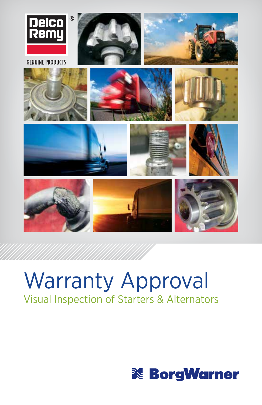

# Warranty Approval Visual Inspection of Starters & Alternators

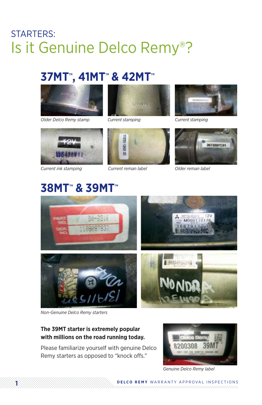# STARTERS: Is it Genuine Delco Remy®?

### **37MT™, 41MT™ & 42MT™**



*Older Delco Remy stamp*





*Current stamping Current stamping*



*Current ink stamping*



*Current reman label Older reman label*



# **38MT™ & 39MT™**







MOOR 1

*Non-Genuine Delco Remy starters*

### **The 39MT starter is extremely popular with millions on the road running today.**

Please familiarize yourself with genuine Delco Remy starters as opposed to "knock offs."



*Genuine Delco Remy label*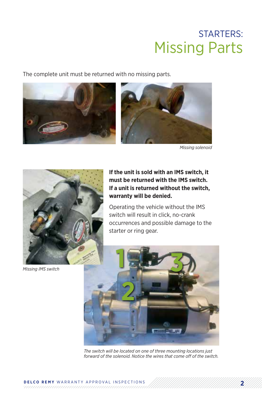### STARTERS: Missing Parts

The complete unit must be returned with no missing parts.





*Missing solenoid*



*Missing IMS switch*

**If the unit is sold with an IMS switch, it must be returned with the IMS switch. If a unit is returned without the switch, warranty will be denied.**

Operating the vehicle without the IMS switch will result in click, no-crank occurrences and possible damage to the starter or ring gear.



*The switch will be located on one of three mounting locations just forward of the solenoid. Notice the wires that come off of the switch.*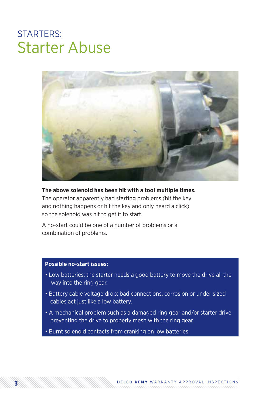# STARTERS: Starter Abuse



#### **The above solenoid has been hit with a tool multiple times.**

The operator apparently had starting problems (hit the key and nothing happens or hit the key and only heard a click) so the solenoid was hit to get it to start.

A no-start could be one of a number of problems or a combination of problems.

#### **Possible no-start issues:**

- Low batteries: the starter needs a good battery to move the drive all the way into the ring gear.
- Battery cable voltage drop: bad connections, corrosion or under sized cables act just like a low battery.
- A mechanical problem such as a damaged ring gear and/or starter drive preventing the drive to properly mesh with the ring gear.
- Burnt solenoid contacts from cranking on low batteries.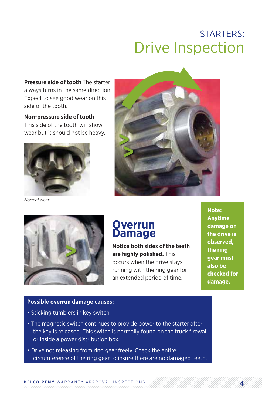# STARTERS: Drive Inspection

**Pressure side of tooth** The starter always turns in the same direction. Expect to see good wear on this side of the tooth.

**Non-pressure side of tooth**  This side of the tooth will show wear but it should not be heavy.



*Normal wear*





### **Overrun Damage**

**Notice both sides of the teeth are highly polished.** This occurs when the drive stays running with the ring gear for an extended period of time.

**Note: Anytime damage on the drive is observed, the ring gear must also be checked for damage.**

#### **Possible overrun damage causes:**

- Sticking tumblers in key switch.
- The magnetic switch continues to provide power to the starter after the key is released. This switch is normally found on the truck firewall or inside a power distribution box.
- Drive not releasing from ring gear freely. Check the entire circumference of the ring gear to insure there are no damaged teeth.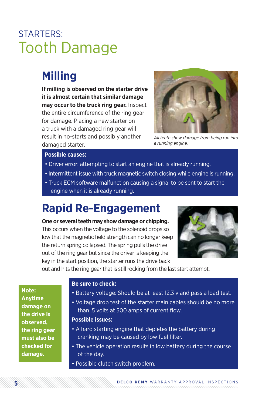# STARTERS: Tooth Damage

### **Milling**

**If milling is observed on the starter drive it is almost certain that similar damage may occur to the truck ring gear.** Inspect the entire circumference of the ring gear for damage. Placing a new starter on a truck with a damaged ring gear will result in no-starts and possibly another damaged starter.



*All teeth show damage from being run into a running engine.*

#### **Possible causes:**

- Driver error: attempting to start an engine that is already running.
- Intermittent issue with truck magnetic switch closing while engine is running.
- Truck ECM software malfunction causing a signal to be sent to start the engine when it is already running.

### **Rapid Re-Engagement**

**One or several teeth may show damage or chipping.** This occurs when the voltage to the solenoid drops so low that the magnetic field strength can no longer keep the return spring collapsed. The spring pulls the drive out of the ring gear but since the driver is keeping the key in the start position, the starter runs the drive back



out and hits the ring gear that is still rocking from the last start attempt.

**Note: Anytime damage on the drive is observed, the ring gear must also be checked for damage.**

#### **Be sure to check:**

- Battery voltage: Should be at least 12.3 v and pass a load test.
- Voltage drop test of the starter main cables should be no more than .5 volts at 500 amps of current flow.

#### **Possible issues:**

- A hard starting engine that depletes the battery during cranking may be caused by low fuel filter.
- The vehicle operation results in low battery during the course of the day.
- Possible clutch switch problem.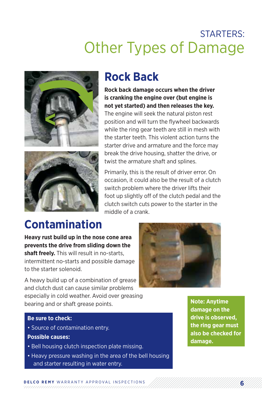



### **Rock Back**

**Rock back damage occurs when the driver is cranking the engine over (but engine is not yet started) and then releases the key.**

The engine will seek the natural piston rest position and will turn the flywheel backwards while the ring gear teeth are still in mesh with the starter teeth. This violent action turns the starter drive and armature and the force may break the drive housing, shatter the drive, or twist the armature shaft and splines.

Primarily, this is the result of driver error. On occasion, it could also be the result of a clutch switch problem where the driver lifts their foot up slightly off of the clutch pedal and the clutch switch cuts power to the starter in the middle of a crank.

# **Contamination**

**Heavy rust build up in the nose cone area prevents the drive from sliding down the shaft freely.** This will result in no-starts, intermittent no-starts and possible damage to the starter solenoid.

A heavy build up of a combination of grease and clutch dust can cause similar problems especially in cold weather. Avoid over greasing bearing and or shaft grease points.



#### **Be sure to check:**

- Source of contamination entry.
- **Possible causes:**
- Bell housing clutch inspection plate missing.
- Heavy pressure washing in the area of the bell housing and starter resulting in water entry.

**Note: Anytime damage on the drive is observed, the ring gear must also be checked for damage.**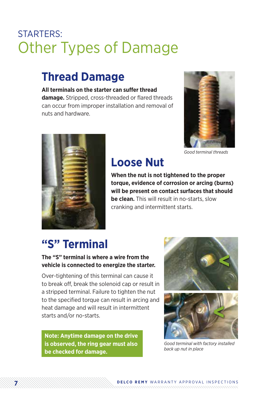### **Thread Damage**

#### **All terminals on the starter can suffer thread**

**damage.** Stripped, cross-threaded or flared threads can occur from improper installation and removal of nuts and hardware.



*Good terminal threads*



### **Loose Nut**

**When the nut is not tightened to the proper torque, evidence of corrosion or arcing (burns) will be present on contact surfaces that should be clean.** This will result in no-starts, slow cranking and intermittent starts.

# **"S" Terminal**

### **The "S" terminal is where a wire from the vehicle is connected to energize the starter.**

Over-tightening of this terminal can cause it to break off, break the solenoid cap or result in a stripped terminal. Failure to tighten the nut to the specified torque can result in arcing and heat damage and will result in intermittent starts and/or no-starts.

**Note: Anytime damage on the drive is observed, the ring gear must also be checked for damage.**





*Good terminal with factory installed back up nut in place*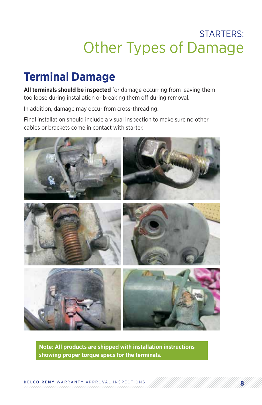# **Terminal Damage**

**All terminals should be inspected** for damage occurring from leaving them too loose during installation or breaking them off during removal.

In addition, damage may occur from cross-threading.

Final installation should include a visual inspection to make sure no other cables or brackets come in contact with starter.



**Note: All products are shipped with installation instructions showing proper torque specs for the terminals.**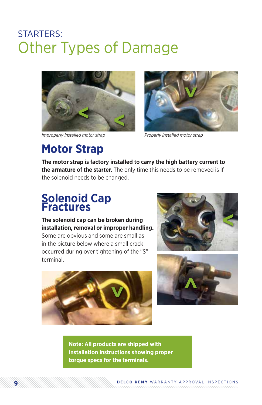

*Improperly installed motor strap Properly installed motor strap*



### **Motor Strap**

**The motor strap is factory installed to carry the high battery current to the armature of the starter.** The only time this needs to be removed is if the solenoid needs to be changed.

### **Solenoid Cap Fractures**

### **The solenoid cap can be broken during installation, removal or improper handling.**

Some are obvious and some are small as in the picture below where a small crack occurred during over tightening of the "S" terminal.







**Note: All products are shipped with installation instructions showing proper torque specs for the terminals.**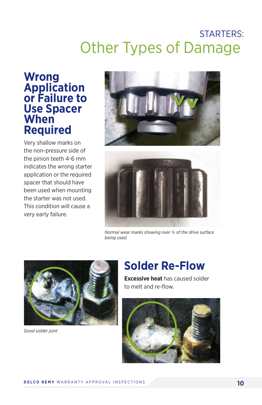### **Wrong Application or Failure to Use Spacer When Required**

Very shallow marks on the non-pressure side of the pinion teeth 4-6 mm indicates the wrong starter application or the required spacer that should have been used when mounting the starter was not used. This condition will cause a very early failure.





*Normal wear marks showing over ¾ of the drive surface being used.*



*Good solder joint*

## **Solder Re-Flow**

**Excessive heat** has caused solder to melt and re-flow.

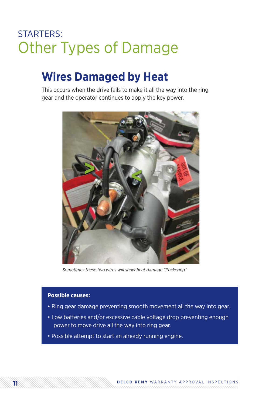### **Wires Damaged by Heat**

This occurs when the drive fails to make it all the way into the ring gear and the operator continues to apply the key power.



*Sometimes these two wires will show heat damage "Puckering"*

#### **Possible causes:**

- Ring gear damage preventing smooth movement all the way into gear.
- Low batteries and/or excessive cable voltage drop preventing enough power to move drive all the way into ring gear.
- Possible attempt to start an already running engine.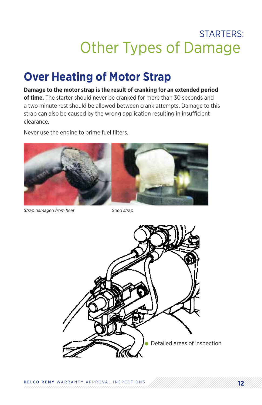### **Over Heating of Motor Strap**

### **Damage to the motor strap is the result of cranking for an extended period of time.** The starter should never be cranked for more than 30 seconds and a two minute rest should be allowed between crank attempts. Damage to this strap can also be caused by the wrong application resulting in insufficient clearance.

Never use the engine to prime fuel filters.



*Strap damaged from heat Good strap*

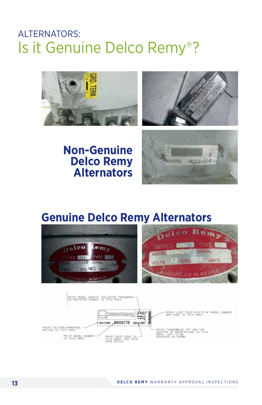### ALTERNATORS: Is it Genuine Delco Remy®?





### **Non-Genuine Delco Remy Alternators**



### **Genuine Delco Remy Alternators**

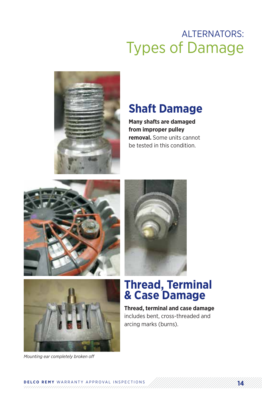

### **Shaft Damage**

**Many shafts are damaged from improper pulley removal.** Some units cannot be tested in this condition.







### **Thread, Terminal & Case Damage**

**Thread, terminal and case damage** includes bent, cross-threaded and arcing marks (burns).

*Mounting ear completely broken off*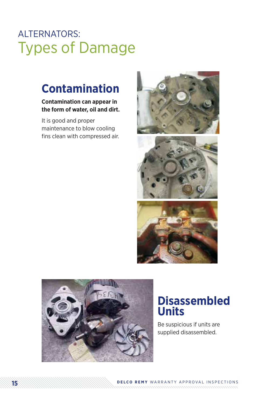### **Contamination**

### **Contamination can appear in the form of water, oil and dirt.**

It is good and proper maintenance to blow cooling fins clean with compressed air.





### **Disassembled Units**

Be suspicious if units are supplied disassembled.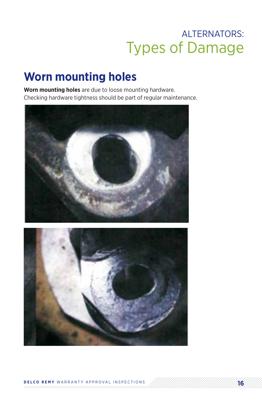### **Worn mounting holes**

**Worn mounting holes** are due to loose mounting hardware. Checking hardware tightness should be part of regular maintenance.



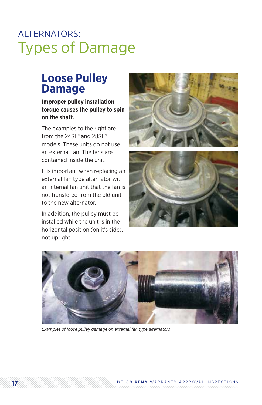### **Loose Pulley Damage**

### **Improper pulley installation torque causes the pulley to spin on the shaft.**

The examples to the right are from the 24SI™ and 28SI™ models. These units do not use an external fan. The fans are contained inside the unit.

It is important when replacing an external fan type alternator with an internal fan unit that the fan is not transfered from the old unit to the new alternator.

In addition, the pulley must be installed while the unit is in the horizontal position (on it's side), not upright.







*Examples of loose pulley damage on external fan type alternators*